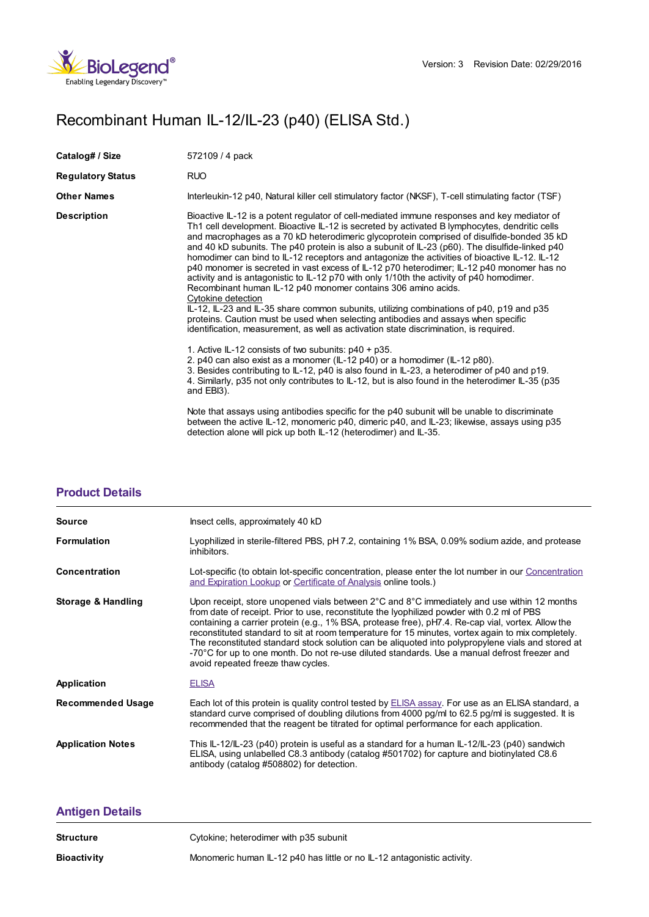

## Recombinant Human IL-12/IL-23 (p40) (ELISA Std.)

| Catalog# / Size          | 572109 / 4 pack                                                                                                                                                                                                                                                                                                                                                                                                                                                                                                                                                                                                                                                                                                                                                                                                                                                                                                                                                                                                                                         |
|--------------------------|---------------------------------------------------------------------------------------------------------------------------------------------------------------------------------------------------------------------------------------------------------------------------------------------------------------------------------------------------------------------------------------------------------------------------------------------------------------------------------------------------------------------------------------------------------------------------------------------------------------------------------------------------------------------------------------------------------------------------------------------------------------------------------------------------------------------------------------------------------------------------------------------------------------------------------------------------------------------------------------------------------------------------------------------------------|
| <b>Regulatory Status</b> | <b>RUO</b>                                                                                                                                                                                                                                                                                                                                                                                                                                                                                                                                                                                                                                                                                                                                                                                                                                                                                                                                                                                                                                              |
| <b>Other Names</b>       | Interleukin-12 p40, Natural killer cell stimulatory factor (NKSF), T-cell stimulating factor (TSF)                                                                                                                                                                                                                                                                                                                                                                                                                                                                                                                                                                                                                                                                                                                                                                                                                                                                                                                                                      |
| <b>Description</b>       | Bioactive IL-12 is a potent regulator of cell-mediated immune responses and key mediator of<br>Th1 cell development. Bioactive IL-12 is secreted by activated B lymphocytes, dendritic cells<br>and macrophages as a 70 kD heterodimeric glycoprotein comprised of disulfide-bonded 35 kD<br>and 40 kD subunits. The p40 protein is also a subunit of IL-23 (p60). The disulfide-linked p40<br>homodimer can bind to IL-12 receptors and antagonize the activities of bioactive IL-12. IL-12<br>p40 monomer is secreted in vast excess of IL-12 p70 heterodimer; IL-12 p40 monomer has no<br>activity and is antagonistic to IL-12 p70 with only 1/10th the activity of p40 homodimer.<br>Recombinant human IL-12 p40 monomer contains 306 amino acids.<br>Cytokine detection<br>IL-12, IL-23 and IL-35 share common subunits, utilizing combinations of p40, p19 and p35<br>proteins. Caution must be used when selecting antibodies and assays when specific<br>identification, measurement, as well as activation state discrimination, is required. |
|                          | 1. Active IL-12 consists of two subunits: p40 + p35.<br>2. p40 can also exist as a monomer (IL-12 p40) or a homodimer (IL-12 p80).<br>3. Besides contributing to IL-12, p40 is also found in IL-23, a heterodimer of p40 and p19.<br>4. Similarly, p35 not only contributes to IL-12, but is also found in the heterodimer IL-35 (p35)<br>and EBI3).                                                                                                                                                                                                                                                                                                                                                                                                                                                                                                                                                                                                                                                                                                    |
|                          | Note that assays using antibodies specific for the p40 subunit will be unable to discriminate<br>between the active IL-12, monomeric p40, dimeric p40, and IL-23; likewise, assays using p35<br>detection alone will pick up both IL-12 (heterodimer) and IL-35.                                                                                                                                                                                                                                                                                                                                                                                                                                                                                                                                                                                                                                                                                                                                                                                        |

## **[Product](https://www.biolegend.com/ja-jp/products/recombinant-human-il-12-il-23-p40-elisa-std-6406?pdf=true&displayInline=true&leftRightMargin=15&topBottomMargin=15&filename=Recombinant Human IL-12/IL-23 (p40) (ELISA Std.).pdf#productDetails) Details**

| Insect cells, approximately 40 kD                                                                                                                                                                                                                                                                                                                                                                                                                                                                                                                                                                                                              |
|------------------------------------------------------------------------------------------------------------------------------------------------------------------------------------------------------------------------------------------------------------------------------------------------------------------------------------------------------------------------------------------------------------------------------------------------------------------------------------------------------------------------------------------------------------------------------------------------------------------------------------------------|
| Lyophilized in sterile-filtered PBS, pH 7.2, containing 1% BSA, 0.09% sodium azide, and protease<br>inhibitors.                                                                                                                                                                                                                                                                                                                                                                                                                                                                                                                                |
| Lot-specific (to obtain lot-specific concentration, please enter the lot number in our Concentration<br>and Expiration Lookup or Certificate of Analysis online tools.)                                                                                                                                                                                                                                                                                                                                                                                                                                                                        |
| Upon receipt, store unopened vials between 2°C and 8°C immediately and use within 12 months<br>from date of receipt. Prior to use, reconstitute the lyophilized powder with 0.2 ml of PBS<br>containing a carrier protein (e.g., 1% BSA, protease free), pH7.4. Re-cap vial, vortex. Allow the<br>reconstituted standard to sit at room temperature for 15 minutes, vortex again to mix completely.<br>The reconstituted standard stock solution can be aliquoted into polypropylene vials and stored at<br>-70°C for up to one month. Do not re-use diluted standards. Use a manual defrost freezer and<br>avoid repeated freeze thaw cycles. |
| <b>ELISA</b>                                                                                                                                                                                                                                                                                                                                                                                                                                                                                                                                                                                                                                   |
| Each lot of this protein is quality control tested by <b>ELISA</b> assay. For use as an ELISA standard, a<br>standard curve comprised of doubling dilutions from 4000 pg/ml to 62.5 pg/ml is suggested. It is<br>recommended that the reagent be titrated for optimal performance for each application.                                                                                                                                                                                                                                                                                                                                        |
| This IL-12/IL-23 (p40) protein is useful as a standard for a human IL-12/IL-23 (p40) sandwich<br>ELISA, using unlabelled C8.3 antibody (catalog #501702) for capture and biotinylated C8.6<br>antibody (catalog #508802) for detection.                                                                                                                                                                                                                                                                                                                                                                                                        |
|                                                                                                                                                                                                                                                                                                                                                                                                                                                                                                                                                                                                                                                |

## **[Antigen](https://www.biolegend.com/ja-jp/products/recombinant-human-il-12-il-23-p40-elisa-std-6406?pdf=true&displayInline=true&leftRightMargin=15&topBottomMargin=15&filename=Recombinant Human IL-12/IL-23 (p40) (ELISA Std.).pdf#antigenDetails) Details**

| <b>Structure</b>   | Cytokine; heterodimer with p35 subunit                                  |
|--------------------|-------------------------------------------------------------------------|
| <b>Bioactivity</b> | Monomeric human IL-12 p40 has little or no IL-12 antagonistic activity. |